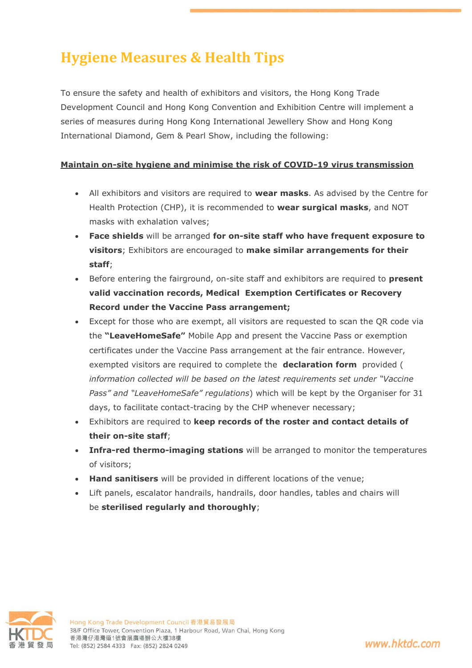# **Hygiene Measures & Health Tips**

To ensure the safety and health of exhibitors and visitors, the Hong Kong Trade Development Council and Hong Kong Convention and Exhibition Centre will implement a series of measures during Hong Kong International Jewellery Show and Hong Kong International Diamond, Gem & Pearl Show, including the following:

## **Maintain on-site hygiene and minimise the risk of COVID-19 virus transmission**

- All exhibitors and visitors are required to **wear masks**. As advised by the Centre for Health Protection (CHP), it is recommended to **wear surgical masks**, and NOT masks with exhalation valves;
- **Face shields** will be arranged **for on-site staff who have frequent exposure to visitors**; Exhibitors are encouraged to **make similar arrangements for their staff**;
- Before entering the fairground, on-site staff and exhibitors are required to **present valid vaccination records, Medical Exemption Certificates or Recovery Record under the Vaccine Pass arrangement;**
- Except for those who are exempt, all visitors are requested to scan the QR code via the **"LeaveHomeSafe"** Mobile App and present the Vaccine Pass or exemption certificates under the Vaccine Pass arrangement at the fair entrance. However, exempted visitors are required to complete the **declaration form** provided ( *information collected will be based on the latest requirements set under "Vaccine Pass" and "LeaveHomeSafe" regulations*) which will be kept by the Organiser for 31 days, to facilitate contact-tracing by the CHP whenever necessary;
- Exhibitors are required to **keep records of the roster and contact details of their on-site staff**;
- **Infra-red thermo-imaging stations** will be arranged to monitor the temperatures of visitors;
- **Hand sanitisers** will be provided in different locations of the venue;
- Lift panels, escalator handrails, handrails, door handles, tables and chairs will be **sterilised regularly and thoroughly**;



www.hktdc.com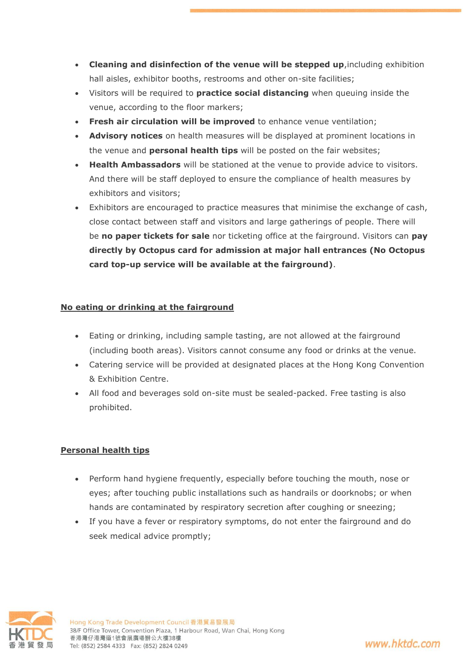- **Cleaning and disinfection of the venue will be stepped up**,including exhibition hall aisles, exhibitor booths, restrooms and other on-site facilities;
- Visitors will be required to **practice social distancing** when queuing inside the venue, according to the floor markers;
- **Fresh air circulation will be improved** to enhance venue ventilation;
- **Advisory notices** on health measures will be displayed at prominent locations in the venue and **personal health tips** will be posted on the fair websites;
- **Health Ambassadors** will be stationed at the venue to provide advice to visitors. And there will be staff deployed to ensure the compliance of health measures by exhibitors and visitors;
- Exhibitors are encouraged to practice measures that minimise the exchange of cash, close contact between staff and visitors and large gatherings of people. There will be **no paper tickets for sale** nor ticketing office at the fairground. Visitors can **pay directly by Octopus card for admission at major hall entrances (No Octopus card top-up service will be available at the fairground)**.

## **No eating or drinking at the fairground**

- Eating or drinking, including sample tasting, are not allowed at the fairground (including booth areas). Visitors cannot consume any food or drinks at the venue.
- Catering service will be provided at designated places at the Hong Kong Convention & Exhibition Centre.
- All food and beverages sold on-site must be sealed-packed. Free tasting is also prohibited.

## **Personal health tips**

- Perform hand hygiene frequently, especially before touching the mouth, nose or eyes; after touching public installations such as handrails or doorknobs; or when hands are contaminated by respiratory secretion after coughing or sneezing;
- If you have a fever or respiratory symptoms, do not enter the fairground and do seek medical advice promptly;



www.hktdc.com